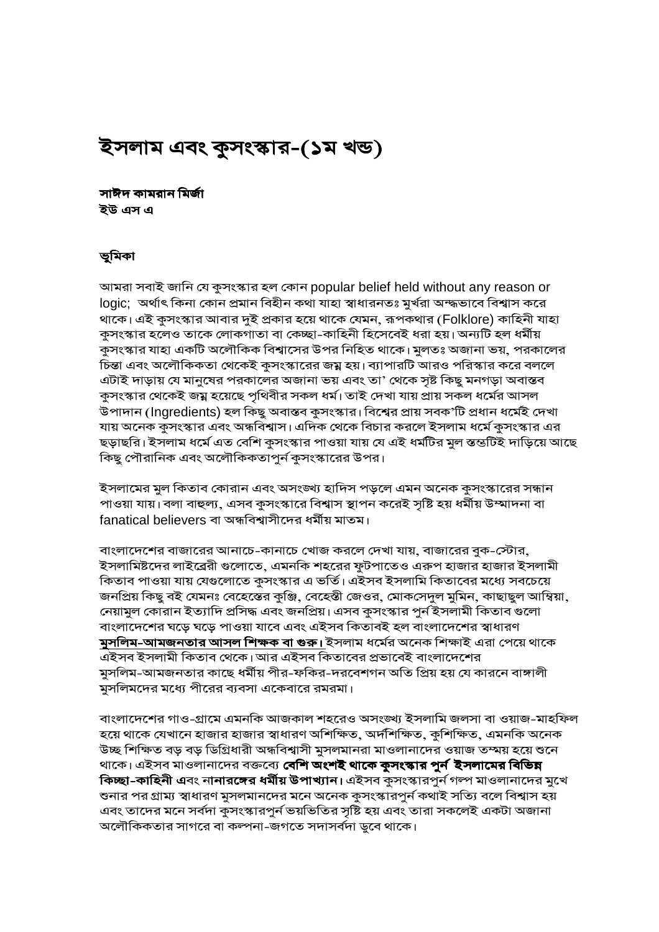# ইসলাম এবং কুসংস্কার-(১ম খন্ড)

সাঈদ কামরান মির্জা ইউ এস এ

#### ভূমিকা

আমরা সবাই জানি যে কুসংস্কার হল কোন popular belief held without any reason or logic; অর্থাৎ কিনা কোন প্রমান বিহীন কথা যাহা স্বাধারনতঃ মুর্খরা অন্দ্ধভাবে বিশ্বাস করে থাকে। এই কুসংস্কার আবার দুই প্রকার হয়ে থাকে যেমন, রূপকথার (Folklore) কাহিনী যাহা কুসংস্কার হলেও তাকে লোকগাতা বা কেচ্ছা-কাহিনী হিসেবেই ধরা হয়। অন্যটি হল ধর্মীয় কুসংস্কার যাহা একটি অলৌকিক বিশ্বাসের উপর নিহিত থাকে। মুলতঃ অজানা ভয়, পরকালের চিন্তা এবং অলৌকিকতা থেকেই কুসংস্কারের জম্ন হয়। ব্যাপারটি আরও পরিস্কার করে বললে এটাই দাড়ায় যে মানুষের পরকালের অজানা ভয় এবং তা' থেকে সৃষ্ট কিছু মনগড়া অবাস্তব কুসংস্কার থেকেই জয়্ন হয়েছে পৃথিবীর সকল ধর্ম। তাই দেখা যায় প্রায় সকল ধর্মের আসল উপাদান (Ingredients) হল কিছু অবাস্তব কুসংস্কার। বিশ্বের প্রায় সবক'টি প্রধান ধর্মেই দেখা যায় অনেক কুসংস্কার এবং অন্ধবিশ্বাস। এদিক থেকে বিচার করলে ইসলাম ধর্মে কুসংস্কার এর ছড়াছরি। ইসলাম ধর্মে এত বেশি কুসংস্কার পাওয়া যায় যে এই ধর্মটির মুল স্তন্তটিই দাড়িয়ে আছে কিছু পৌরানিক এবং অলৌকিকতাপুর্ন কুসংস্কারের উপর।

ইসলামের মুল কিতাব কোরান এবং অসংঙ্খ্য হাদিস পড়লে এমন অনেক কুসংস্কারের সন্ধান পাওয়া যায়। বলা বাহুল্য, এসব কুসংস্কারে বিশ্বাস স্থাপন করেই সৃষ্টি হয় ধর্মীয় উম্মাদনা বা fanatical believers বা অন্ধবিশ্বাসীদের ধর্মীয় মাতম।

বাংলাদেশের বাজারের আনাচে-কানাচে খোজ করলে দেখা যায়, বাজারের বুক-স্টোর, ইসলামিষ্টদের লাইব্রেরী গুলোতে, এমনকি শহরের ফুটপাতেও এরুপ হাজার হাজার ইসলামী কিতাব পাওয়া যায় যেগুলোতে কুসংস্কার এ ভর্তি। এইসব ইসলামি কিতাবের মধ্যে সবচেয়ে জনপ্রিয় কিছু বই যেমনঃ বেহেস্তের কুঞ্জি, বেহেস্তী জেওর, মোকসেদুল মুমিন, কাছাছুল আম্বিয়া, নেয়ামুল কোরান ইত্যাদি প্রসিদ্ধ এবং জনপ্রিয়। এসব কুসংস্কার পুর্ন ইসলামী কিতাব গুলো বাংলাদেশের ঘড়ে ঘড়ে পাওয়া যাবে এবং এইসব কিতাবই হল বাংলাদেশের স্বাধারণ <mark>মুসলিম-আমজনতার আসল শিক্ষক বা গুরু।</mark> ইসলাম ধর্মের অনেক শিক্ষাই এরা পেয়ে থাকে এইসব ইসলামী কিতাব থেকে। আর এইসব কিতাবের প্রভাবেই বাংলাদেশের মুসলিম-আমজনতার কাছে ধর্মীয় পীর-ফকির-দরবেশগন অতি প্রিয় হয় যে কারনে বাঙ্গালী মুসলিমদের মধ্যে পীরের ব্যবসা একেবারে রমরমা।

বাংলাদেশের গাও-গ্রামে এমনকি আজকাল শহরেও অসংঙ্খ্য ইসলামি জলসা বা ওয়াজ-মাহফিল হয়ে থাকে যেখানে হাজার হাজার স্বাধারণ অশিক্ষিত, অর্দশিক্ষিত, কুশিক্ষিত, এমনকি অনেক উচ্ছ শিক্ষিত বড় বড় ডিগ্রিধারী অন্ধবিশ্বাসী মুসলমানরা মাওলানাদের ওয়াজ তম্ময় হয়ে শুনে থাকে। এইসব মাওলানাদের বক্তব্যে **বেশি অংশই থাকে কুসংস্কার পুর্ন ইসলামের বিভিন্ন কিচ্ছা-কাহিনী এ**বং না**নারঙ্গের ধর্মীয় উপাখ্যান।** এইসব কুসংস্কারপুর্ন গল্প মাওলানাদের মুখে শুনার পর গ্রাম্য স্বাধারণ মুসলমানদের মনে অনেক কুসংস্কারপুর্ন কথাই সত্যি বলে বিশ্বাস হয় এবং তাদের মনে সর্বদা কুসংস্কারপুর্ন ভয়ভিতির সৃষ্টি হয় এবং তারা সকলেই একটা অজানা অলৌকিকতার সাগরে বা কল্পনা-জগতে সদাসর্বদা ডুবে থাকে।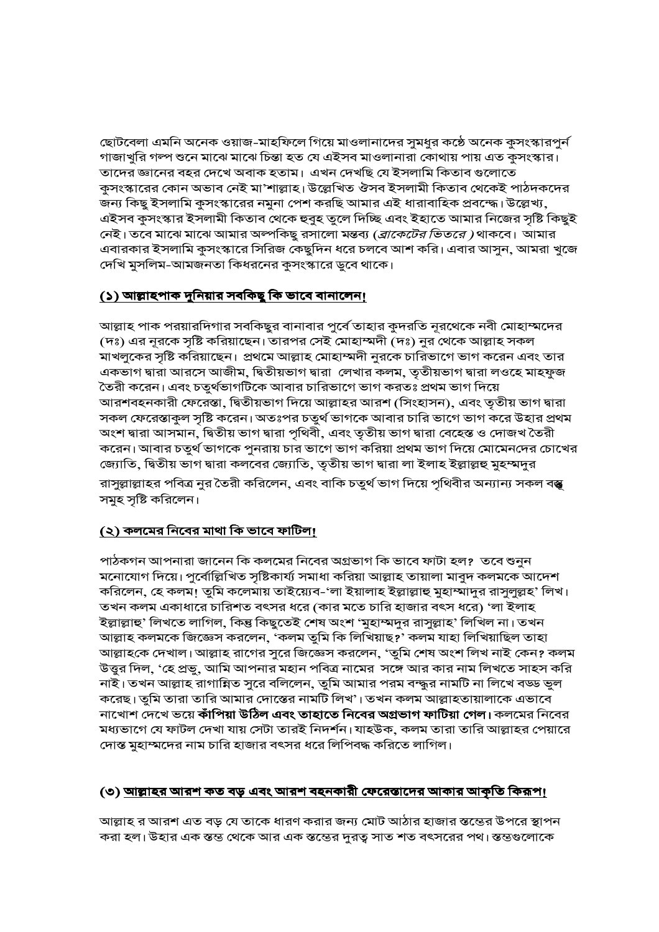ছোটবেলা এমনি অনেক ওয়াজ-মাহফিলে গিয়ে মাওলানাদের সুমধুর কঠে অনেক কুসংস্কারপুর্ন গাজাখুরি গল্প শুনে মাঝে মাঝে চিন্তা হত যে এইসব মাওলানারা কোথায় পায় এত কুসংস্কার। তাদের জ্ঞানের বহর দেখে অবাক হতাম। এখন দেখছি যে ইসলামি কিতাব গুলোতে কুসংস্কারের কোন অভাব নেই মা'শাল্লাহ। উল্লেখিত ঔসব ইসলামী কিতাব থেকেই পাঠদকদের জন্য কিছু ইসলামি কুসংস্কারের নমুনা পেশ করছি আমার এই ধারাবাহিক প্রবন্দ্ধে। উল্লেখ্য, এইসব কুসংস্কার ইসলামী কিতাব থেকে হুবুহ তুলে দিচ্ছি এবং ইহাতে আমার নিজের সৃষ্টি কিছুই নেই। তবে মাঝে মাঝে আমার অল্পকিছু রসালো মন্তব্য *(ব্রাকেটের ভিতরে)* থাকবে। আমার এবারকার ইসলামি কুসংস্কারে সিরিজ কেছুদিন ধরে চলবে আশ করি। এবার আসুন, আমরা খুজে দেখি মুসলিম-আমজনতা কিধরনের কুসংস্কারে ডুবে থাকে।

## <u>(১) আল্লাহপাক দুনিয়ার সবকিছু কি ভাবে বানালেন!</u>

আল্লাহ পাক পরয়ারদিগার সবকিছুর বানাবার পুর্বে তাহার কুদরতি নূরথেকে নবী মোহাম্মদের (দঃ) এর নূরকে সৃষ্টি করিয়াছেন। তারপর সেই মোহাম্মদী (দঃ) নুর থেকে আল্লাহ সকল মাখলুকের সৃষ্টি করিয়াছেন। প্রথমে আল্লাহ মোহাম্মদী নুরকে চারিভাগে ভাগ করেন এবং তার একভাগ দ্বারা আরসে আজীম, দ্বিতীয়ভাগ দ্বারা লেখার কলম, তৃতীয়ভাগ দ্বারা লওহে মাহফুজ তৈরী করেন। এবং চতুর্থভাগটিকে আবার চারিভাগে ভাগ করতঃ প্রথম ভাগ দিয়ে আরশবহনকারী ফেরেস্তা, দ্বিতীয়ভাগ দিয়ে আল্লাহর আরশ (সিংহাসন), এবং তৃতীয় ভাগ দ্বারা সকল ফেরেস্তাকুল সৃষ্টি করেন। অতঃপর চতুর্থ ভাগকে আবার চারি ভাগে ভাগ করে উহার প্রথম অংশ দ্বারা আসমান, দ্বিতীয় ভাগ দ্বারা পৃথিবী, এবং তৃতীয় ভাগ দ্বারা বেহেস্ত ও দোজখ তৈরী করেন। আবার চতুর্থ ভাগকে পুনরায় চার ভাগে ভাগ করিয়া প্রথম ভাগ দিয়ে মোমেনদের চোখের জ্যোতি, দ্বিতীয় ভাগ দ্বারা কলবের জ্যোতি, তৃতীয় ভাগ দ্বারা লা ইলাহ ইল্লাল্লহু মুহস্মদুর রাসুল্লাল্লাহর পবিত্র নুর তৈরী করিলেন, এবং বাকি চতুর্থ ভাগ দিয়ে পৃথিবীর অন্যান্য সকল বস্তু সমুহ সৃষ্টি করিলেন।

#### <u>(২) কলমের নিবের মাথা কি ভাবে ফাটিল!</u>

পাঠকগন আপনারা জানেন কি কলমের নিবের অগ্রভাগ কি ভাবে ফাটা হল? তবে শুনুন মনোযোগ দিয়ে। পুর্বোল্লিখিত সৃষ্টিকার্য্য সমাধা করিয়া আল্লাহ তায়ালা মাবুদ কলমকে আদেশ করিলেন, হে কলম! তুমি কলেমায় তাইয়্যেব-'লা ইয়ালাহ ইল্লাল্লাহু মুহাম্মাদুর রাসুলুল্লহ' লিখ। তখন কলম একাধারে চারিশত বৎসর ধরে (কার মতে চারি হাজার বৎস ধরে) 'লা ইলাহ ইল্লাল্লাহু' লিখতে লাগিল, কিন্তু কিছুতেই শেষ অংশ 'মুহাস্মদুর রাসুল্লাহ' লিখিল না। তখন আল্লাহ কলমকে জিজ্ঞেস করলেন, 'কলম তুমি কি লিখিয়াছ?' কলম যাহা লিখিয়াছিল তাহা আল্লাহকে দেখাল। আল্লাহ রাগের সুরে জিজ্ঞেস করলেন, 'তুমি শেষ অংশ লিখ নাই কেন? কলম উত্তুর দিল, 'হে প্রভু, আমি আপনার মহান পবিত্র নামের সঙ্গে আর কার নাম লিখতে সাহস করি নাই। তখন আল্লাহ রাগান্নিত সুরে বলিলেন, তুমি আমার পরম বন্দ্ধুর নামটি না লিখে বড্ড ভুল করেছ। তুমি তারা তারি আমার দোস্তের নামটি লিখ'। তখন কলম আল্লাহতায়ালাকে এভাবে নাখোশ দেখে ভয়ে কাঁপিয়া উঠিল এবং তাহাতে নিবের অগ্রভাগ ফাটিয়া গেল। কলমের নিবের মধ্যভাগে যে ফাটল দেখা যায় সেটা তারই নিদর্শন।যাহউক, কলম তারা তারি আল্লাহর পেয়ারে দোস্ত মুহাম্মদের নাম চারি হাজার বৎসর ধরে লিপিবদ্ধ করিতে লাগিল।

#### (৩) <u>আল্লাহর আরশ কত বড় এবং আরশ বহনকারী ফেরেস্তাদের আকার আকৃতি কিরূপ।</u>

আল্লাহ র আরশ এত বড় যে তাকে ধারণ করার জন্য মোট আঠার হাজার স্তস্তের উপরে স্থাপন করা হল। উহার এক স্তম্ভ থেকে আর এক স্তম্ভের দুরত্ব সাত শত বৎসরের পথ। স্তম্ভগুলোকে